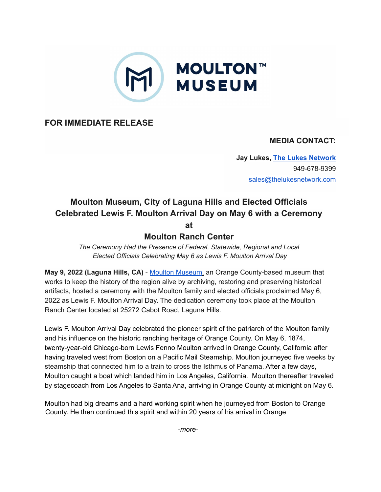

**FOR IMMEDIATE RELEASE**

## **MEDIA CONTACT:**

**Jay Lukes, The Lukes [Network](http://www.thelukesnetwork.com/)** 949-678-9399 sales@thelukesnetwork.com

## **Moulton Museum, City of Laguna Hills and Elected Officials Celebrated Lewis F. Moulton Arrival Day on May 6 with a Ceremony at**

## **Moulton Ranch Center**

*The Ceremony Had the Presence of Federal, Statewide, Regional and Local Elected Officials Celebrating May 6 as Lewis F. Moulton Arrival Day*

**May 9, 2022 (Laguna Hills, CA)** - Moulton [Museum,](http://moultonmuseum.org/) an Orange County-based museum that works to keep the history of the region alive by archiving, restoring and preserving historical artifacts, hosted a ceremony with the Moulton family and elected officials proclaimed May 6, 2022 as Lewis F. Moulton Arrival Day. The dedication ceremony took place at the Moulton Ranch Center located at 25272 Cabot Road, Laguna Hills.

Lewis F. Moulton Arrival Day celebrated the pioneer spirit of the patriarch of the Moulton family and his influence on the historic ranching heritage of Orange County. On May 6, 1874, twenty-year-old Chicago-born Lewis Fenno Moulton arrived in Orange County, California after having traveled west from Boston on a Pacific Mail Steamship. Moulton journeyed five weeks by steamship that connected him to a train to cross the Isthmus of Panama. After a few days, Moulton caught a boat which landed him in Los Angeles, California. Moulton thereafter traveled by stagecoach from Los Angeles to Santa Ana, arriving in Orange County at midnight on May 6.

Moulton had big dreams and a hard working spirit when he journeyed from Boston to Orange County. He then continued this spirit and within 20 years of his arrival in Orange